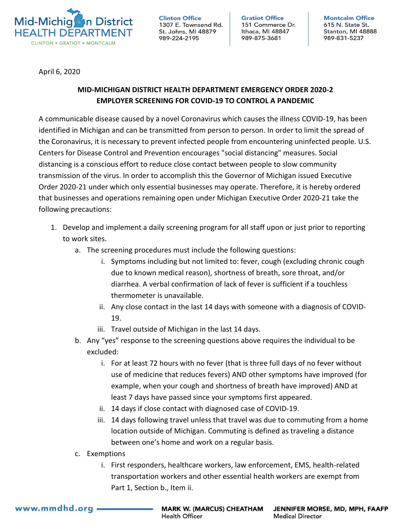

**Clinton Office** 1307 E. Townsend Rd. St. Johns, MI 48879 989-224-2195

**Gratiot Office** 151 Commerce Dr. Ithaca, MI 48847 989-875-3681

**Montcalm Office** 615 N. State St. Stanton, MI 48888 989-831-5237

April 6, 2020

## **MID-MICHIGAN DISTRICT HEALTH DEPARTMENT EMERGENCY ORDER 2020-2 EMPLOYER SCREENING FOR COVID-19 TO CONTROL A PANDEMIC**

A communicable disease caused by a novel Coronavirus which causes the illness COVID-19, has been identified in Michigan and can be transmitted from person to person. In order to limit the spread of the Coronavirus, it is necessary to prevent infected people from encountering uninfected people. U.S. Centers for Disease Control and Prevention encourages "social distancing" measures. Social distancing is a conscious effort to reduce close contact between people to slow community transmission of the virus. In order to accomplish this the Governor of Michigan issued Executive Order 2020-21 under which only essential businesses may operate. Therefore, it is hereby ordered that businesses and operations remaining open under Michigan Executive Order 2020-21 take the following precautions:

- 1. Develop and implement a daily screening program for all staff upon or just prior to reporting to work sites.
	- a. The screening procedures must include the following questions:
		- i. Symptoms including but not limited to: fever, cough (excluding chronic cough due to known medical reason), shortness of breath, sore throat, and/or diarrhea. A verbal confirmation of lack of fever is sufficient if a touchless thermometer is unavailable.
		- ii. Any close contact in the last 14 days with someone with a diagnosis of COVID-19.
		- iii. Travel outside of Michigan in the last 14 days.
	- b. Any "yes" response to the screening questions above requires the individual to be excluded:
		- i. For at least 72 hours with no fever (that is three full days of no fever without use of medicine that reduces fevers) AND other symptoms have improved (for example, when your cough and shortness of breath have improved) AND at least 7 days have passed since your symptoms first appeared.
		- ii. 14 days if close contact with diagnosed case of COVID-19.
		- iii. 14 days following travel unless that travel was due to commuting from a home location outside of Michigan. Commuting is defined as traveling a distance between one's home and work on a regular basis.
	- c. Exemptions
		- i. First responders, healthcare workers, law enforcement, EMS, health-related transportation workers and other essential health workers are exempt from Part 1, Section b., Item ii.

www.mmdhd.org.

**MARK W. (MARCUS) CHEATHAM Health Officer** 

JENNIFER MORSE, MD, MPH, FAAFP **Medical Director**